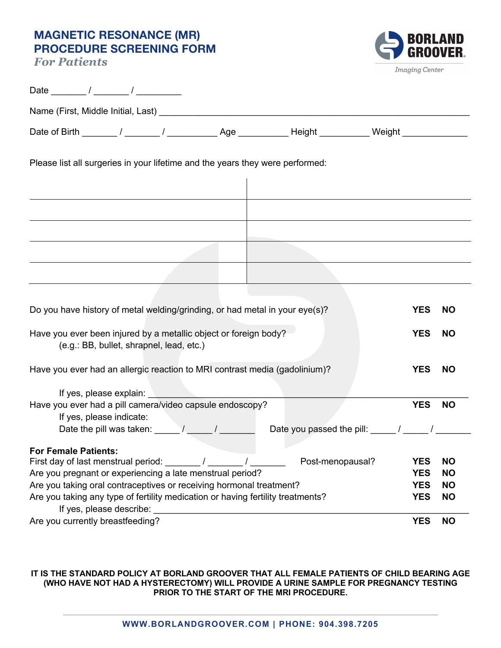## **MAGNETIC RESONANCE (MR) PROCEDURE SCREENING FORM**

*For Patients*



| Name (First, Middle Initial, Last) Name (First, Middle 1994)                                                                                                                                                                                                                                                                                                             |            |                                                                         |                          |                        |
|--------------------------------------------------------------------------------------------------------------------------------------------------------------------------------------------------------------------------------------------------------------------------------------------------------------------------------------------------------------------------|------------|-------------------------------------------------------------------------|--------------------------|------------------------|
|                                                                                                                                                                                                                                                                                                                                                                          |            |                                                                         |                          |                        |
| Please list all surgeries in your lifetime and the years they were performed:                                                                                                                                                                                                                                                                                            |            |                                                                         |                          |                        |
|                                                                                                                                                                                                                                                                                                                                                                          |            |                                                                         |                          |                        |
|                                                                                                                                                                                                                                                                                                                                                                          |            |                                                                         |                          |                        |
|                                                                                                                                                                                                                                                                                                                                                                          |            |                                                                         |                          |                        |
|                                                                                                                                                                                                                                                                                                                                                                          |            |                                                                         |                          |                        |
| Do you have history of metal welding/grinding, or had metal in your eye(s)?                                                                                                                                                                                                                                                                                              |            |                                                                         | <b>YES</b>               | <b>NO</b>              |
| Have you ever been injured by a metallic object or foreign body?<br>(e.g.: BB, bullet, shrapnel, lead, etc.)                                                                                                                                                                                                                                                             |            |                                                                         | <b>YES</b>               | <b>NO</b>              |
| Have you ever had an allergic reaction to MRI contrast media (gadolinium)?                                                                                                                                                                                                                                                                                               |            |                                                                         | <b>YES</b>               | <b>NO</b>              |
| If yes, please explain: <u>contract the set of the set of the set of the set of the set of the set of the set of the set of the set of the set of the set of the set of the set of the set of the set of the set of the set of t</u><br>Have you ever had a pill camera/video capsule endoscopy?<br>If yes, please indicate:<br>Date the pill was taken: $\sqrt{2\pi/2}$ |            | Date you passed the pill: $\frac{1}{2}$ / $\frac{1}{2}$ / $\frac{1}{2}$ | <b>YES</b>               | <b>NO</b>              |
| <b>For Female Patients:</b>                                                                                                                                                                                                                                                                                                                                              |            |                                                                         |                          |                        |
| First day of last menstrual period: /                                                                                                                                                                                                                                                                                                                                    | $\sqrt{2}$ | Post-menopausal?                                                        | <b>YES</b>               | <b>NO</b>              |
| Are you pregnant or experiencing a late menstrual period?                                                                                                                                                                                                                                                                                                                |            |                                                                         | <b>YES</b>               | <b>NO</b>              |
| Are you taking oral contraceptives or receiving hormonal treatment?<br>Are you taking any type of fertility medication or having fertility treatments?                                                                                                                                                                                                                   |            |                                                                         | <b>YES</b><br><b>YES</b> | <b>NO</b><br><b>NO</b> |
| If yes, please describe: and the state of the state of the state of the state of the state of the state of the state of the state of the state of the state of the state of the state of the state of the state of the state o<br>Are you currently breastfeeding?                                                                                                       |            |                                                                         | <b>YES</b>               | <b>NO</b>              |

## **IT IS THE STANDARD POLICY AT BORLAND GROOVER THAT ALL FEMALE PATIENTS OF CHILD BEARING AGE (WHO HAVE NOT HAD A HYSTERECTOMY) WILL PROVIDE A URINE SAMPLE FOR PREGNANCY TESTING PRIOR TO THE START OF THE MRI PROCEDURE.**